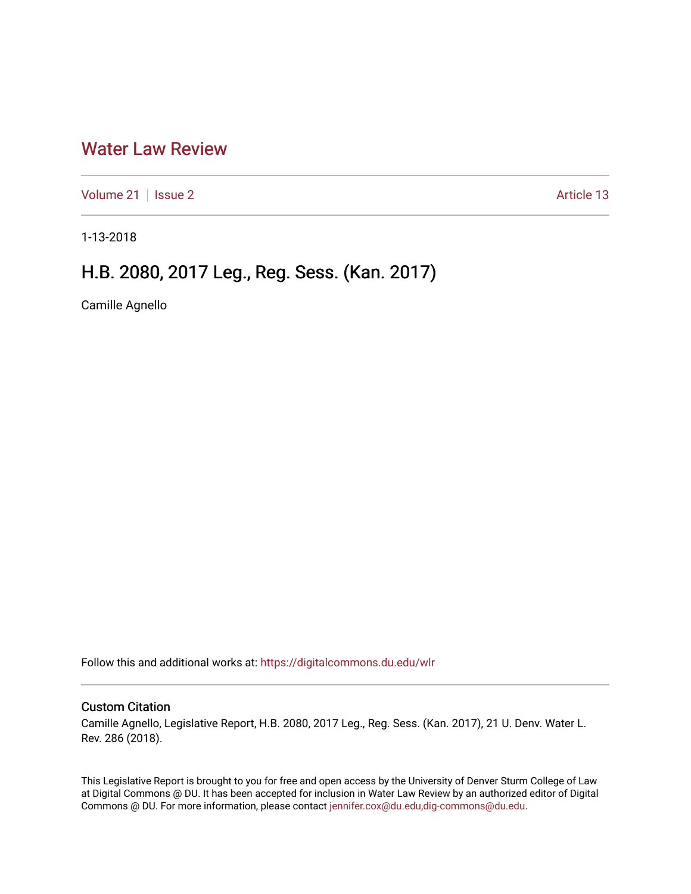## [Water Law Review](https://digitalcommons.du.edu/wlr)

[Volume 21](https://digitalcommons.du.edu/wlr/vol21) | [Issue 2](https://digitalcommons.du.edu/wlr/vol21/iss2) Article 13

1-13-2018

# H.B. 2080, 2017 Leg., Reg. Sess. (Kan. 2017)

Camille Agnello

Follow this and additional works at: [https://digitalcommons.du.edu/wlr](https://digitalcommons.du.edu/wlr?utm_source=digitalcommons.du.edu%2Fwlr%2Fvol21%2Fiss2%2F13&utm_medium=PDF&utm_campaign=PDFCoverPages) 

## Custom Citation

Camille Agnello, Legislative Report, H.B. 2080, 2017 Leg., Reg. Sess. (Kan. 2017), 21 U. Denv. Water L. Rev. 286 (2018).

This Legislative Report is brought to you for free and open access by the University of Denver Sturm College of Law at Digital Commons @ DU. It has been accepted for inclusion in Water Law Review by an authorized editor of Digital Commons @ DU. For more information, please contact [jennifer.cox@du.edu,dig-commons@du.edu.](mailto:jennifer.cox@du.edu,dig-commons@du.edu)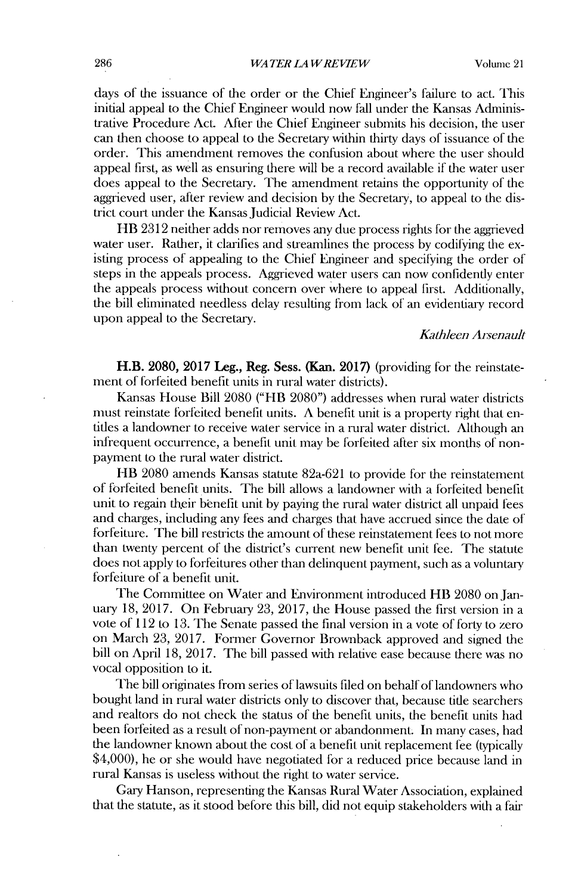days of the issuance of the order or the Chief Engineer's failure to act. This initial appeal to the Chief Engineer would now fall under the Kansas Administrative Procedure Act. After the Chief Engineer submits his decision, the user can then choose to appeal to the Secretary within thirty days of issuance of the order. This amendment removes the confusion about where the user should appeal first, as well as ensuring there **will** be a record available **if** the water user does appeal to the Secretary. The amendment retains the opportunity of the aggrieved user, after review and decision **by** the Secretary, to appeal to the **dis**trict court under the Kansas Judicial Review Act.

HB **2312** neither adds nor removes any due process rights for the aggrieved water user. Rather, it clarifies and streamlines the process **by** codifying the existing process of appealing to the Chief Engineer and specifying the order of steps in the appeals process. Aggrieved water users can now confidently enter the appeals process without concern over where to appeal first. Additionally, the bill eliminated needless delay resulting from lack of an evidentiary record upon appeal to the Secretary.

### *Kathleen Ai-senault*

H.B. **2080, 2017 Leg.,** Reg. Sess. (Kan. **2017)** (providing for the reinstatement of forfeited benefit units in rural water districts).

Kansas House Bill **2080** ("HB **2080")** addresses when rural water districts must reinstate forfeited benefit units. **A** benefit unit is a property right that entitles a landowner to receive water service in a rural water district. Although an infrequent occurrence, a benefit unit may be forfeited after six months of nonpayment to the rural water district.

HB **2080** amends Kansas statute 82a-621 to provide for the reinstatement of forfeited benefit units. The bill allows a landowner with a forfeited benefit unit to regain their benefit unit **by** paying the rural water district all unpaid fees and charges, including any fees and charges that have accrued since the date of forfeiture. The bill restricts the amount of these reinstatement fees to not more than twenty percent of the district's current new benefit unit fee. The statute does not apply to forfeitures other than delinquent payment, such as a voluntary forfeiture of a benefit unit.

The Committee on Water and Environment introduced HB **2080** on January **18, 2017.** On February **23, 2017,** the House passed the first version in a vote of 112 to **13.** The Senate passed the final version in a vote of forty to zero on March **23, 2017.** Forner Governor Brownback approved **and** signed the **bill** on April **18, 2017.** The **bill** passed with relative ease because there was no vocal opposition to it.

The **bill** originates from series of lawsuits filed on behalf of landowners who bought land in rural water districts only to discover that, because title searchers and realtors do not check the status of the benefit units, the benefit units had been forfeited as a result of non-payment or abandonment. In many cases, had the landowner known about the cost of a benefit unit replacement fee (typically \$4,000), he or she would have negotiated for a reduced price because land in rural Kansas is useless without the right to water service.

Gary Hanson, representing the Kansas Rural Water Association, explained that the statute, as it stood before this **bill, did** not equip stakeholders with a fair